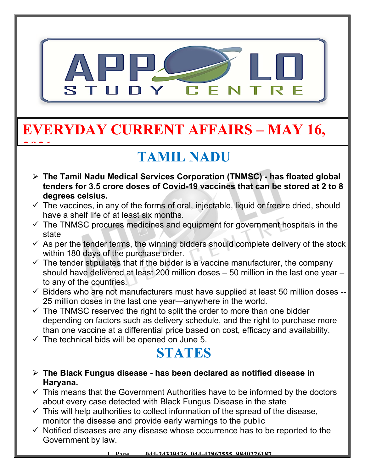

# **EVERYDAY CURRENT AFFAIRS – MAY 16,**

## **TAMIL NADU**

- **The Tamil Nadu Medical Services Corporation (TNMSC) has floated global tenders for 3.5 crore doses of Covid-19 vaccines that can be stored at 2 to 8 degrees celsius.**
- $\checkmark$  The vaccines, in any of the forms of oral, injectable, liquid or freeze dried, should have a shelf life of at least six months.
- $\checkmark$  The TNMSC procures medicines and equipment for government hospitals in the state
- $\checkmark$  As per the tender terms, the winning bidders should complete delivery of the stock within 180 days of the purchase order.
- $\checkmark$  The tender stipulates that if the bidder is a vaccine manufacturer, the company should have delivered at least 200 million doses – 50 million in the last one year – to any of the countries.
- $\checkmark$  Bidders who are not manufacturers must have supplied at least 50 million doses --25 million doses in the last one year—anywhere in the world.
- $\checkmark$  The TNMSC reserved the right to split the order to more than one bidder depending on factors such as delivery schedule, and the right to purchase more than one vaccine at a differential price based on cost, efficacy and availability.
- $\checkmark$  The technical bids will be opened on June 5.

**2021**

#### **STATES**

- **The Black Fungus disease has been declared as notified disease in Haryana.**
- $\checkmark$  This means that the Government Authorities have to be informed by the doctors about every case detected with Black Fungus Disease in the state
- $\checkmark$  This will help authorities to collect information of the spread of the disease, monitor the disease and provide early warnings to the public
- $\checkmark$  Notified diseases are any disease whose occurrence has to be reported to the Government by law.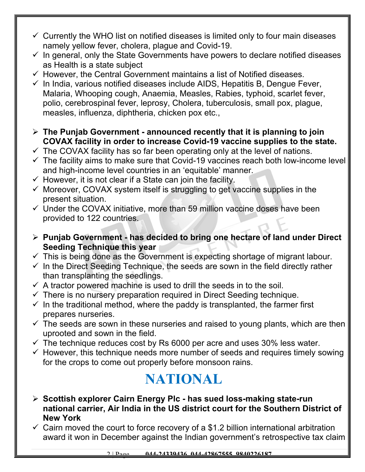- $\checkmark$  Currently the WHO list on notified diseases is limited only to four main diseases namely yellow fever, cholera, plague and Covid-19.
- $\checkmark$  In general, only the State Governments have powers to declare notified diseases as Health is a state subject
- $\checkmark$  However, the Central Government maintains a list of Notified diseases.
- $\checkmark$  In India, various notified diseases include AIDS, Hepatitis B, Dengue Fever, Malaria, Whooping cough, Anaemia, Measles, Rabies, typhoid, scarlet fever, polio, cerebrospinal fever, leprosy, Cholera, tuberculosis, small pox, plague, measles, influenza, diphtheria, chicken pox etc.,
- **The Punjab Government announced recently that it is planning to join COVAX facility in order to increase Covid-19 vaccine supplies to the state.**
- $\checkmark$  The COVAX facility has so far been operating only at the level of nations.
- $\checkmark$  The facility aims to make sure that Covid-19 vaccines reach both low-income level and high-income level countries in an 'equitable' manner.
- $\checkmark$  However, it is not clear if a State can join the facility.
- $\checkmark$  Moreover, COVAX system itself is struggling to get vaccine supplies in the present situation.
- $\checkmark$  Under the COVAX initiative, more than 59 million vaccine doses have been provided to 122 countries.
- **Punjab Government has decided to bring one hectare of land under Direct Seeding Technique this year**
- $\checkmark$  This is being done as the Government is expecting shortage of migrant labour.
- $\checkmark$  In the Direct Seeding Technique, the seeds are sown in the field directly rather than transplanting the seedlings.
- $\checkmark$  A tractor powered machine is used to drill the seeds in to the soil.
- $\checkmark$  There is no nursery preparation required in Direct Seeding technique.
- $\checkmark$  In the traditional method, where the paddy is transplanted, the farmer first prepares nurseries.
- $\checkmark$  The seeds are sown in these nurseries and raised to young plants, which are then uprooted and sown in the field.
- $\checkmark$  The technique reduces cost by Rs 6000 per acre and uses 30% less water.
- $\checkmark$  However, this technique needs more number of seeds and requires timely sowing for the crops to come out properly before monsoon rains.

### **NATIONAL**

- **Scottish explorer Cairn Energy Plc has sued loss-making state-run national carrier, Air India in the US district court for the Southern District of New York**
- $\checkmark$  Cairn moved the court to force recovery of a \$1.2 billion international arbitration award it won in December against the Indian government's retrospective tax claim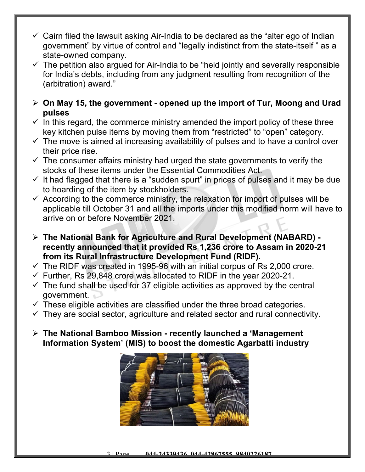- $\checkmark$  Cairn filed the lawsuit asking Air-India to be declared as the "alter ego of Indian government" by virtue of control and "legally indistinct from the state-itself " as a state-owned company.
- $\checkmark$  The petition also argued for Air-India to be "held jointly and severally responsible for India's debts, including from any judgment resulting from recognition of the (arbitration) award."
- **On May 15, the government opened up the import of Tur, Moong and Urad pulses**
- $\checkmark$  In this regard, the commerce ministry amended the import policy of these three key kitchen pulse items by moving them from "restricted" to "open" category.
- $\checkmark$  The move is aimed at increasing availability of pulses and to have a control over their price rise.
- $\checkmark$  The consumer affairs ministry had urged the state governments to verify the stocks of these items under the Essential Commodities Act.
- $\checkmark$  It had flagged that there is a "sudden spurt" in prices of pulses and it may be due to hoarding of the item by stockholders.
- $\checkmark$  According to the commerce ministry, the relaxation for import of pulses will be applicable till October 31 and all the imports under this modified norm will have to arrive on or before November 2021.
- **The National Bank for Agriculture and Rural Development (NABARD) recently announced that it provided Rs 1,236 crore to Assam in 2020-21 from its Rural Infrastructure Development Fund (RIDF).**
- $\checkmark$  The RIDF was created in 1995-96 with an initial corpus of Rs 2,000 crore.
- $\checkmark$  Further, Rs 29,848 crore was allocated to RIDF in the year 2020-21.
- $\checkmark$  The fund shall be used for 37 eligible activities as approved by the central government.
- $\checkmark$  These eligible activities are classified under the three broad categories.
- $\checkmark$  They are social sector, agriculture and related sector and rural connectivity.
- **The National Bamboo Mission recently launched a 'Management Information System' (MIS) to boost the domestic Agarbatti industry**

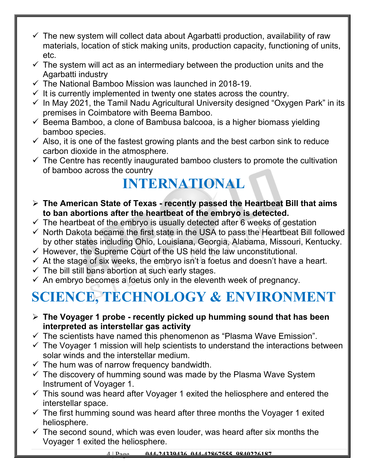- $\checkmark$  The new system will collect data about Agarbatti production, availability of raw materials, location of stick making units, production capacity, functioning of units, etc.
- $\checkmark$  The system will act as an intermediary between the production units and the Agarbatti industry
- $\checkmark$  The National Bamboo Mission was launched in 2018-19.
- $\checkmark$  It is currently implemented in twenty one states across the country.
- $\checkmark$  In May 2021, the Tamil Nadu Agricultural University designed "Oxygen Park" in its premises in Coimbatore with Beema Bamboo.
- $\checkmark$  Beema Bamboo, a clone of Bambusa balcooa, is a higher biomass yielding bamboo species.
- $\checkmark$  Also, it is one of the fastest growing plants and the best carbon sink to reduce carbon dioxide in the atmosphere.
- $\checkmark$  The Centre has recently inaugurated bamboo clusters to promote the cultivation of bamboo across the country

### **INTERNATIONAL**

- **The American State of Texas recently passed the Heartbeat Bill that aims to ban abortions after the heartbeat of the embryo is detected.**
- $\checkmark$  The heartbeat of the embryo is usually detected after 6 weeks of gestation
- $\checkmark$  North Dakota became the first state in the USA to pass the Heartbeat Bill followed by other states including Ohio, Louisiana, Georgia, Alabama, Missouri, Kentucky.
- $\checkmark$  However, the Supreme Court of the US held the law unconstitutional.
- $\checkmark$  At the stage of six weeks, the embryo isn't a foetus and doesn't have a heart.
- $\checkmark$  The bill still bans abortion at such early stages.
- $\checkmark$  An embryo becomes a foetus only in the eleventh week of pregnancy.

# **SCIENCE, TECHNOLOGY & ENVIRONMENT**

- **The Voyager 1 probe recently picked up humming sound that has been interpreted as interstellar gas activity**
- $\checkmark$  The scientists have named this phenomenon as "Plasma Wave Emission".
- $\checkmark$  The Voyager 1 mission will help scientists to understand the interactions between solar winds and the interstellar medium.
- $\checkmark$  The hum was of narrow frequency bandwidth.
- $\checkmark$  The discovery of humming sound was made by the Plasma Wave System Instrument of Voyager 1.
- $\checkmark$  This sound was heard after Voyager 1 exited the heliosphere and entered the interstellar space.
- $\checkmark$  The first humming sound was heard after three months the Voyager 1 exited heliosphere.
- $\checkmark$  The second sound, which was even louder, was heard after six months the Voyager 1 exited the heliosphere.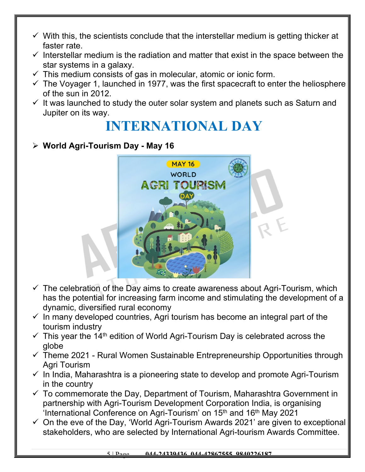- $\checkmark$  With this, the scientists conclude that the interstellar medium is getting thicker at faster rate.
- $\checkmark$  Interstellar medium is the radiation and matter that exist in the space between the star systems in a galaxy.
- $\checkmark$  This medium consists of gas in molecular, atomic or ionic form.
- $\checkmark$  The Voyager 1, launched in 1977, was the first spacecraft to enter the heliosphere of the sun in 2012.
- $\checkmark$  It was launched to study the outer solar system and planets such as Saturn and Jupiter on its way.

#### **INTERNATIONAL DAY**

#### **World Agri-Tourism Day - May 16**



- $\checkmark$  The celebration of the Day aims to create awareness about Agri-Tourism, which has the potential for increasing farm income and stimulating the development of a dynamic, diversified rural economy
- $\checkmark$  In many developed countries, Agri tourism has become an integral part of the tourism industry
- $\checkmark$  This year the 14<sup>th</sup> edition of World Agri-Tourism Day is celebrated across the globe
- $\checkmark$  Theme 2021 Rural Women Sustainable Entrepreneurship Opportunities through Agri Tourism
- $\checkmark$  In India, Maharashtra is a pioneering state to develop and promote Agri-Tourism in the country
- $\checkmark$  To commemorate the Day, Department of Tourism, Maharashtra Government in partnership with Agri-Tourism Development Corporation India, is organising 'International Conference on Agri-Tourism' on  $15<sup>th</sup>$  and  $16<sup>th</sup>$  May 2021
- $\checkmark$  On the eve of the Day, 'World Agri-Tourism Awards 2021' are given to exceptional stakeholders, who are selected by International Agri-tourism Awards Committee.